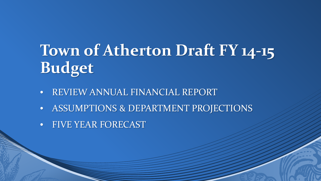# **Town of Atherton Draft FY 14-15 Budget**

- REVIEW ANNUAL FINANCIAL REPORT
- ASSUMPTIONS & DEPARTMENT PROJECTIONS
- FIVE YEAR FORECAST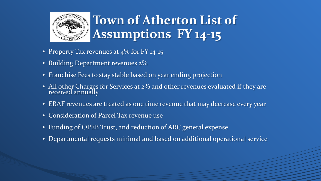

# **Town of Atherton List of Assumptions FY 14-15**

- Property Tax revenues at 4\% for FY 14-15
- Building Department revenues  $2\%$
- Franchise Fees to stay stable based on year ending projection
- All other Charges for Services at 2% and other revenues evaluated if they are received annually
- ERAF revenues are treated as one time revenue that may decrease every year
- Consideration of Parcel Tax revenue use
- Funding of OPEB Trust, and reduction of ARC general expense
- Departmental requests minimal and based on additional operational service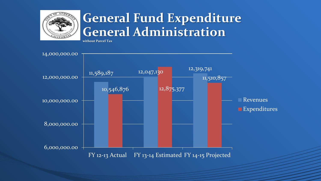

#### **General Fund Expenditure General Administration**

**without Parcel Tax**

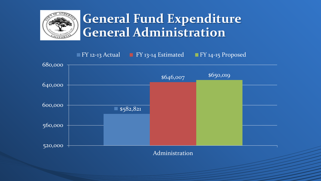

#### **General Fund Expenditure General Administration**

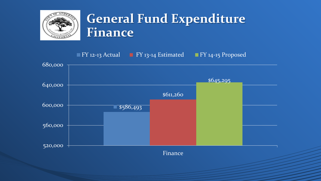

#### **General Fund Expenditure Finance**

\$586,493 \$611,260 \$645,295 520,000 560,000 600,000 640,000 680,000 Finance **FY 12-13 Actual FY 13-14 Estimated FY 14-15 Proposed**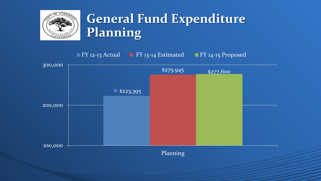

# **General Fund Expenditure Planning**

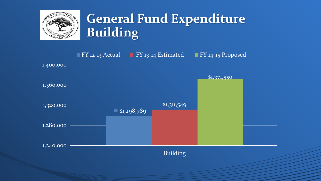

# **General Fund Expenditure Building**

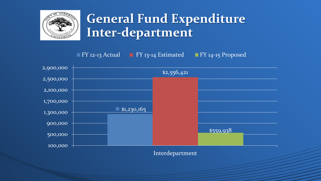

#### **General Fund Expenditure Inter-department**

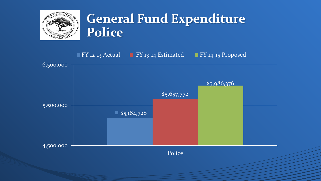

#### **General Fund Expenditure Police**

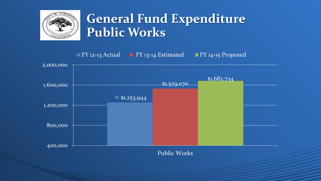

#### **General Fund Expenditure Public Works**

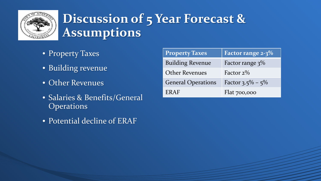

# **Discussion of 5 Year Forecast & Assumptions**

- **Property Taxes**
- Building revenue
- Other Revenues
- Salaries & Benefits/General **Operations**
- Potential decline of ERAF

| <b>Property Taxes</b>     | Factor range $2-3\%$ |
|---------------------------|----------------------|
| <b>Building Revenue</b>   | Factor range $3\%$   |
| <b>Other Revenues</b>     | Factor $2\%$         |
| <b>General Operations</b> | Factor 3.5% – $5\%$  |
| ERAF                      | Flat 700,000         |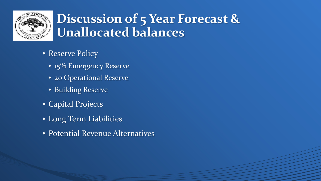

#### **Discussion of 5 Year Forecast & Unallocated balances**

- Reserve Policy
	- 15% Emergency Reserve
	- 20 Operational Reserve
	- Building Reserve
- Capital Projects
- Long Term Liabilities
- Potential Revenue Alternatives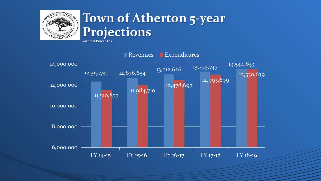

#### **Town of Atherton 5-year Projections**

**without Parcel Tax**